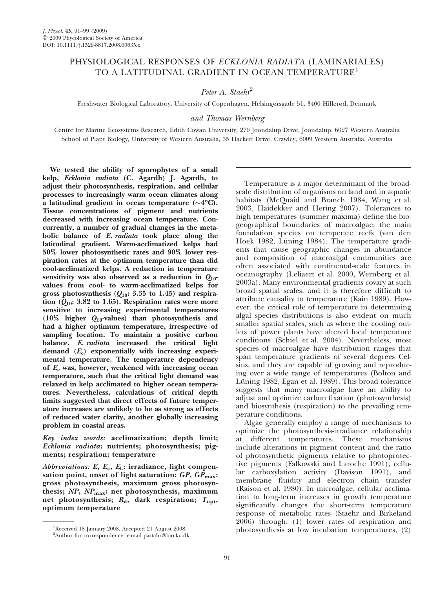# PHYSIOLOGICAL RESPONSES OF ECKLONIA RADIATA (LAMINARIALES) TO A LATITUDINAL GRADIENT IN OCEAN TEMPERATURE<sup>1</sup>

# Peter A. Staehr<sup>2</sup>

Freshwater Biological Laboratory, University of Copenhagen, Helsingørsgade 51, 3400 Hillerød, Denmark

### and Thomas Wernberg

Centre for Marine Ecosystems Research, Edith Cowan University, 270 Joondalup Drive, Joondalup, 6027 Western Australia School of Plant Biology, University of Western Australia, 35 Hackett Drive, Crawley, 6009 Western Australia, Australia

We tested the ability of sporophytes of a small kelp, Ecklonia radiata (C. Agardh) J. Agardh, to adjust their photosynthesis, respiration, and cellular processes to increasingly warm ocean climates along a latitudinal gradient in ocean temperature ( ${\sim}4^{\circ}\text{C}$ ). Tissue concentrations of pigment and nutrients decreased with increasing ocean temperature. Concurrently, a number of gradual changes in the metabolic balance of E. radiata took place along the latitudinal gradient. Warm-acclimatized kelps had 50% lower photosynthetic rates and 90% lower respiration rates at the optimum temperature than did cool-acclimatized kelps. A reduction in temperature sensitivity was also observed as a reduction in  $Q_{10}$ values from cool- to warm-acclimatized kelps for gross photosynthesis  $(Q_{10}: 3.35 \text{ to } 1.45)$  and respiration  $(Q_{10}: 3.82 \text{ to } 1.65)$ . Respiration rates were more sensitive to increasing experimental temperatures (10% higher  $Q_{10}$ -values) than photosynthesis and had a higher optimum temperature, irrespective of sampling location. To maintain a positive carbon balance, E. radiata increased the critical light demand  $(E_c)$  exponentially with increasing experimental temperature. The temperature dependency of  $E_c$  was, however, weakened with increasing ocean temperature, such that the critical light demand was relaxed in kelp acclimated to higher ocean temperatures. Nevertheless, calculations of critical depth limits suggested that direct effects of future temperature increases are unlikely to be as strong as effects of reduced water clarity, another globally increasing problem in coastal areas.

Key index words: acclimatization; depth limit; Ecklonia radiata; nutrients; photosynthesis; pigments; respiration; temperature

Abbreviations: E,  $E_c$ ,  $E_k$ : irradiance, light compensation point, onset of light saturation;  $GP$ ,  $GP$ <sub>max</sub>: gross photosynthesis, maximum gross photosynthesis;  $NP$ ,  $NP$ <sub>max</sub>: net photosynthesis, maximum net photosynthesis;  $R_d$ , dark respiration;  $T_{\text{opt}}$ , optimum temperature

Temperature is a major determinant of the broadscale distribution of organisms on land and in aquatic habitats (McQuaid and Branch 1984, Wang et al. 2003, Haidekker and Hering 2007). Tolerances to high temperatures (summer maxima) define the biogeographical boundaries of macroalgae, the main foundation species on temperate reefs (van den Hoek 1982, Lüning 1984). The temperature gradients that cause geographic changes in abundance and composition of macroalgal communities are often associated with continental-scale features in oceanography (Leliaert et al. 2000, Wernberg et al. 2003a). Many environmental gradients covary at such broad spatial scales, and it is therefore difficult to attribute causality to temperature (Kain 1989). However, the critical role of temperature in determining algal species distributions is also evident on much smaller spatial scales, such as where the cooling outlets of power plants have altered local temperature conditions (Schiel et al. 2004). Nevertheless, most species of macroalgae have distribution ranges that span temperature gradients of several degrees Celsius, and they are capable of growing and reproducing over a wide range of temperatures (Bolton and Lüning 1982, Egan et al. 1989). This broad tolerance suggests that many macroalgae have an ability to adjust and optimize carbon fixation (photosynthesis) and biosynthesis (respiration) to the prevailing temperature conditions.

Algae generally employ a range of mechanisms to optimize the photosynthesis-irradiance relationship at different temperatures. These mechanisms include alterations in pigment content and the ratio of photosynthetic pigments relative to photoprotective pigments (Falkowski and Laroche 1991), cellular carboxylation activity (Davison 1991), and membrane fluidity and electron chain transfer (Raison et al. 1980). In microalgae, cellular acclimation to long-term increases in growth temperature significantly changes the short-term temperature response of metabolic rates (Staehr and Birkeland 2006) through: (1) lower rates of respiration and photosynthesis at low incubation temperatures, (2) <sup>1</sup>

Received 18 January 2008. Accepted 21 August 2008.

<sup>&</sup>lt;sup>2</sup>Author for correspondence: e-mail pastahr@bio.ku.dk.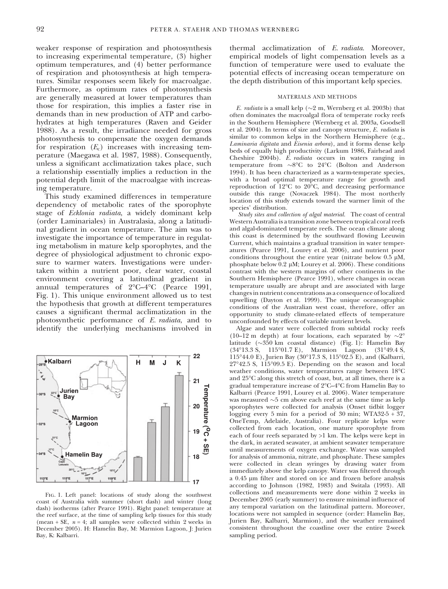weaker response of respiration and photosynthesis to increasing experimental temperature, (3) higher optimum temperatures, and (4) better performance of respiration and photosynthesis at high temperatures. Similar responses seem likely for macroalgae. Furthermore, as optimum rates of photosynthesis are generally measured at lower temperatures than those for respiration, this implies a faster rise in demands than in new production of ATP and carbohydrates at high temperatures (Raven and Geider 1988). As a result, the irradiance needed for gross photosynthesis to compensate the oxygen demands for respiration  $(E_c)$  increases with increasing temperature (Maegawa et al. 1987, 1988). Consequently, unless a significant acclimatization takes place, such a relationship essentially implies a reduction in the potential depth limit of the macroalgae with increasing temperature.

This study examined differences in temperature dependency of metabolic rates of the sporophyte stage of Ecklonia radiata, a widely dominant kelp (order Laminariales) in Australasia, along a latitudinal gradient in ocean temperature. The aim was to investigate the importance of temperature in regulating metabolism in mature kelp sporophytes, and the degree of physiological adjustment to chronic exposure to warmer waters. Investigations were undertaken within a nutrient poor, clear water, coastal environment covering a latitudinal gradient in annual temperatures of 2°C–4°C (Pearce 1991, Fig. 1). This unique environment allowed us to test the hypothesis that growth at different temperatures causes a significant thermal acclimatization in the photosynthetic performance of E. radiata, and to identify the underlying mechanisms involved in



Fig. 1. Left panel: locations of study along the southwest coast of Australia with summer (short dash) and winter (long dash) isotherms (after Pearce 1991). Right panel: temperature at the reef surface, at the time of sampling kelp tissues for this study (mean + SE,  $n = 4$ ; all samples were collected within 2 weeks in December 2005). H: Hamelin Bay, M: Marmion Lagoon, J: Jurien Bay, K: Kalbarri.

thermal acclimatization of E. radiata. Moreover, empirical models of light compensation levels as a function of temperature were used to evaluate the potential effects of increasing ocean temperature on the depth distribution of this important kelp species.

#### MATERIALS AND METHODS

*E. radiata* is a small kelp ( $\sim$ 2 m, Wernberg et al. 2003b) that often dominates the macroalgal flora of temperate rocky reefs in the Southern Hemisphere (Wernberg et al. 2003a, Goodsell et al. 2004). In terms of size and canopy structure, E. radiata is similar to common kelps in the Northern Hemisphere (e.g., Laminaria digitata and Eisenia arbora), and it forms dense kelp beds of equally high productivity (Larkum 1986, Fairhead and Cheshire 2004b). E. radiata occurs in waters ranging in temperature from  $\sim8^{\circ}$ C to 24 $^{\circ}$ C (Bolton and Anderson 1994). It has been characterized as a warm-temperate species, with a broad optimal temperature range for growth and reproduction of 12°C to 20°C, and decreasing performance outside this range (Novaczek 1984). The most northerly location of this study extends toward the warmer limit of the species' distribution.

Study sites and collection of algal material. The coast of central Western Australia is a transition zone between tropical coral reefs and algal-dominated temperate reefs. The ocean climate along this coast is determined by the southward flowing Leeuwin Current, which maintains a gradual transition in water temperatures (Pearce 1991, Lourey et al. 2006), and nutrient poor conditions throughout the entire year (nitrate below  $0.5 \mu M$ , phosphate below  $0.2 \mu$ M; Lourey et al. 2006). These conditions contrast with the western margins of other continents in the Southern Hemisphere (Pearce 1991), where changes in ocean temperature usually are abrupt and are associated with large changes in nutrient concentrations as a consequence of localized upwelling (Dayton et al. 1999). The unique oceanographic conditions of the Australian west coast, therefore, offer an opportunity to study climate-related effects of temperature unconfounded by effects of variable nutrient levels.

Algae and water were collected from subtidal rocky reefs (10–12 m depth) at four locations, each separated by  $\sim 2^{\circ}$ latitude (~350 km coastal distance) (Fig. 1): Hamelin Bay (34°13.3 S, 115°01.7 E), Marmion Lagoon (31°  $(31^{\circ}49.4 \text{ S},$ 115°44.0 E), Jurien Bay (30°17.3 S, 115°02.5 E), and (Kalbarri, 27°42.5 S, 115°09.5 E). Depending on the season and local weather conditions, water temperatures range between 18°C and 25-C along this stretch of coast, but, at all times, there is a gradual temperature increase of 2°C–4°C from Hamelin Bay to Kalbarri (Pearce 1991, Lourey et al. 2006). Water temperature was measured  ${\sim}5$  cm above each reef at the same time as kelp sporophytes were collected for analysis (Onset tidbit logger logging every 5 min for a period of 30 min; WTA32-5 + 37, OneTemp, Adelaide, Australia). Four replicate kelps were collected from each location, one mature sporophyte from each of four reefs separated by >1 km. The kelps were kept in the dark, in aerated seawater, at ambient seawater temperature until measurements of oxygen exchange. Water was sampled for analysis of ammonia, nitrate, and phosphate. These samples were collected in clean syringes by drawing water from immediately above the kelp canopy. Water was filtered through a 0.45 µm filter and stored on ice and frozen before analysis according to Johnson (1982, 1983) and Switala (1993). All collections and measurements were done within 2 weeks in December 2005 (early summer) to ensure minimal influence of any temporal variation on the latitudinal pattern. Moreover, locations were not sampled in sequence (order: Hamelin Bay, Jurien Bay, Kalbarri, Marmion), and the weather remained consistent throughout the coastline over the entire 2-week sampling period.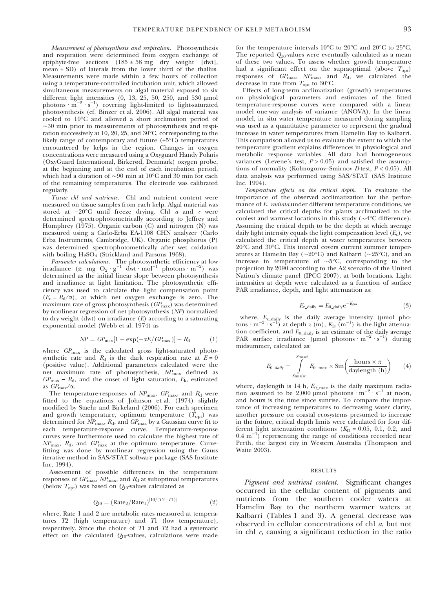Measurement of photosynthesis and respiration. Photosynthesis and respiration were determined from oxygen exchange of epiphyte-free sections  $(185 \pm 58 \text{ mg} \text{ dry weight} [dwt],$ mean  $\pm$  SD) of laterals from the lower third of the thallus. Measurements were made within a few hours of collection using a temperature-controlled incubation unit, which allowed simultaneous measurements on algal material exposed to six different light intensities (0, 13, 25, 50, 250, and 530  $\mu$ mol<br>photons  $\cdot$  m<sup>-2</sup>  $\cdot$  s<sup>-1</sup>) covering light-limited to light-saturated photosynthesis (cf. Binzer et al. 2006). All algal material was cooled to 10-C and allowed a short acclimation period of  $\sim$ 30 min prior to measurements of photosynthesis and respiration successively at 10, 20, 25, and 30-C, corresponding to the likely range of contemporary and future (+5°C) temperatures encountered by kelps in the region. Changes in oxygen concentrations were measured using a Oxyguard Handy Polaris (OxyGuard International, Birkerød, Denmark) oxygen probe, at the beginning and at the end of each incubation period, which had a duration of  $\sim$ 90 min at  $10^{\circ}$ C and 30 min for each of the remaining temperatures. The electrode was calibrated regularly.

Tissue chl and nutrients. Chl and nutrient content were measured on tissue samples from each kelp. Algal material was stored at  $-20^{\circ}$ C until freeze drying. Chl a and c were determined spectrophotometrically according to Jeffrey and Humphrey (1975). Organic carbon (C) and nitrogen (N) was measured using a Carlo-Erba EA-1108 CHN analyzer (Carlo Erba Instruments, Cambridge, UK). Organic phosphorus (P) was determined spectrophotometrically after wet oxidation with boiling  $H<sub>2</sub>SO<sub>4</sub>$  (Strickland and Parsons 1968).

Parameter calculations. The photosynthetic efficiency at low irradiance ( $\alpha$ : mg O<sub>2</sub> · g<sup>-1</sup> dwt · mol<sup>-1</sup> photons · m<sup>-2</sup>) was determined as the initial linear slope between photosynthesis and irradiance at light limitation. The photosynthetic efficiency was used to calculate the light compensation point  $(E_c = R_d/\alpha)$ , at which net oxygen exchange is zero. The maximum rate of gross photosynthesis  $(GP_{\text{max}})$  was determined by nonlinear regression of net photosynthesis (NP) normalized to dry weight (dwt) on irradiance  $(E)$  according to a saturating exponential model (Webb et al. 1974) as

$$
NP = GP_{\text{max}}[1 - \exp(-\alpha E/GP_{\text{max}})] - R_{\text{d}} \tag{1}
$$

where  $GP_{\text{max}}$  is the calculated gross light-saturated photosynthetic rate and  $R_d$  is the dark respiration rate at  $E = 0$ (positive value). Additional parameters calculated were the net maximum rate of photosynthesis,  $NP_{\text{max}}$  defined as  $GP_{\text{max}} - R_d$ , and the onset of light saturation,  $E_k$ , estimated as  $GP_{\text{max}}/\alpha$ .

The temperature-responses of  $NP_{\text{max}}$ ,  $GP_{\text{max}}$ , and  $R_d$  were fitted to the equations of Johnson et al. (1974) slightly modified by Staehr and Birkeland (2006). For each specimen and growth temperature, optimum temperature  $(T_{\text{opt}})$  was determined for  $\mathit{NP}_\text{max}, \mathit{R}_\text{d},$  and  $\mathit{GP}_\text{max}$  by a Gaussian curve fit to each temperature-response curve. Temperature-response curves were furthermore used to calculate the highest rate of  $NP_{\text{max}}$ ,  $R_{\text{d}}$ , and  $GP_{\text{max}}$  at the optimum temperature. Curvefitting was done by nonlinear regression using the Gauss iterative method in SAS/STAT software package (SAS Institute Inc. 1994).

Assessment of possible differences in the temperature responses of  $GP_{\text{max}}$ ,  $NP_{\text{max}}$ , and  $R_d$  at suboptimal temperatures (below  $T_{\text{opt}}$ ) was based on  $Q_{10}$ -values calculated as

$$
Q_{10} = (Rate_2/Rate_1)^{[10/(T2-T1)]}
$$
 (2)

where, Rate 1 and 2 are metabolic rates measured at temperatures T2 (high temperature) and T1 (low temperature), respectively. Since the choice of T1 and T2 had a systematic effect on the calculated  $Q_{10}$ -values, calculations were made

for the temperature intervals  $10^{\circ}$ C to  $20^{\circ}$ C and  $20^{\circ}$ C to  $25^{\circ}$ C. The reported  $Q_{10}$ -values were eventually calculated as a mean of these two values. To assess whether growth temperature had a significant effect on the supraoptimal (above  $T_{\text{opt}}$ ) responses of  $GP_{\text{max}}$ ,  $NP_{\text{max}}$ , and  $R_{\text{d}}$ , we calculated the decrease in rate from  $T_{\text{opt}}$  to 30°C.

Effects of long-term acclimatization (growth) temperatures on physiological parameters and estimates of the fitted temperature-response curves were compared with a linear model one-way analysis of variance (ANOVA). In the linear model, in situ water temperature measured during sampling was used as a quantitative parameter to represent the gradual increase in water temperatures from Hamelin Bay to Kalbarri. This comparison allowed us to evaluate the extent to which the temperature gradient explains differences in physiological and metabolic response variables. All data had homogeneous variances (Levene's test,  $P > 0.05$ ) and satisfied the assumptions of normality (Kolmogorov–Smirnov D-test,  $P < 0.05$ ). All data analysis was performed using SAS/STAT (SAS Institute  $Inc. 1994$ 

Temperature effects on the critical depth. To evaluate the importance of the observed acclimatization for the performance of E. radiata under different temperature conditions, we calculated the critical depths for plants acclimatized to the coolest and warmest locations in this study ( $\sim$ 4°C difference). Assuming the critical depth to be the depth at which average daily light intensity equals the light compensation level  $(E_c)$ , we calculated the critical depth at water temperatures between 20°C and 30°C. This interval covers current summer temperatures at Hamelin Bay ( $\sim$ 20°C) and Kalbarri ( $\sim$ 25°C), and an increase in temperature of  $\sim 5^{\circ}$ C, corresponding to the projection by 2090 according to the A2 scenario of the United Nation's climate panel (IPCC 2007), at both locations. Light intensities at depth were calculated as a function of surface PAR irradiance, depth, and light attenuation as:

$$
E_{z\text{-daily}} = E_{0\text{-daily}} e^{-K_D z} \tag{3}
$$

where,  $E_{\text{z}_{\text{script}}}$  is the daily average intensity (µmol photons · m<sup>-2</sup> · s<sup>-1</sup>) at depth z (m),  $K_{\text{D}}$  (m<sup>-1</sup>) is the light attenuation coefficient, and  $\bar{E}_0$  daily is an estimate of the daily average PAR surface irradiance (µmol photons  $m^{-2} \cdot s^{-1}$ ) during midsummer, calculated as:

$$
E_{0\_daily} = \int_{Sunrise}^{Sunset} E_{0\_max} \times \sin\left(\frac{\text{hours} \times \pi}{\text{daylength (h)}}\right) \tag{4}
$$

where, daylength is 14 h,  $E_0$  <sub>max</sub> is the daily maximum radiation assumed to be 2,000 µmol photons  $\cdot$  m<sup>-2</sup>  $\cdot$  s<sup>-1</sup> at noon, and hours is the time since sunrise. To compare the importance of increasing temperatures to decreasing water clarity, another pressure on coastal ecosystems presumed to increase in the future, critical depth limits were calculated for four different light attenuation conditions  $(K_D = 0.05, 0.1, 0.2,$  and  $(0.4 \text{ m}^{-1})$  representing the range of conditions recorded near Perth, the largest city in Western Australia (Thompson and Waite 2003).

### RESULTS

Pigment and nutrient content. Significant changes occurred in the cellular content of pigments and nutrients from the southern cooler waters at Hamelin Bay to the northern warmer waters at Kalbarri (Tables 1 and 3). A general decrease was observed in cellular concentrations of chl a, but not in chl  $c$ , causing a significant reduction in the ratio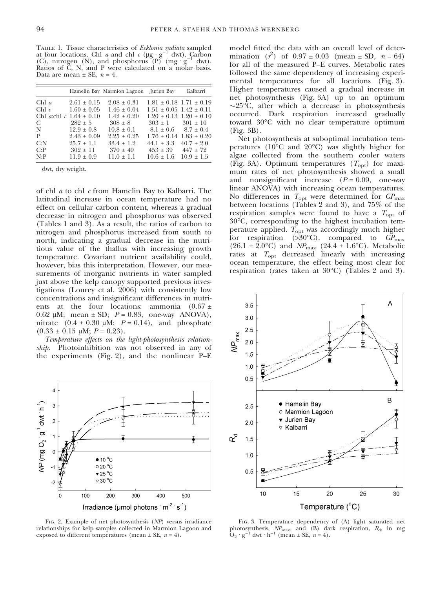TABLE 1. Tissue characteristics of Ecklonia radiata sampled at four locations. Chl *a* and chl *c* ( $\mu$ g · g<sup>-1</sup> dwt). Carbon (C), nitrogen (N), and phosphorus  $(P)$  (mg·g<sup>-1</sup> dwt). Ratios of C, N, and P were calculated on a molar basis. Data are mean  $\pm$  SE,  $n = 4$ .

|                             |                                                            | Hamelin Bay Marmion Lagoon Jurien Bay |                                                                    | Kalbarri                                        |
|-----------------------------|------------------------------------------------------------|---------------------------------------|--------------------------------------------------------------------|-------------------------------------------------|
| Chl $a$                     | $2.61 + 0.15$                                              | $2.08 + 0.31$                         | $1.81 \pm 0.18$ $1.71 \pm 0.19$                                    |                                                 |
| Chl $c$                     | $1.60 \pm 0.05$<br>Chl <i>a</i> chl <i>c</i> $1.64 + 0.10$ | $1.46 \pm 0.04$<br>$1.42 + 0.20$      | $1.51 \pm 0.05$ $1.42 \pm 0.11$<br>$1.20 \pm 0.13$ $1.20 \pm 0.10$ |                                                 |
| $\mathbf C$ and $\mathbf C$ | $282 \pm 5$                                                | $308 + 8$                             | $303 \pm 1$ $301 \pm 10$                                           |                                                 |
| N                           | $12.9 \pm 0.8$                                             | $10.8 + 0.1$                          | $8.1 \pm 0.6$ $8.7 \pm 0.4$                                        |                                                 |
| P<br>C: N                   | $2.43 + 0.09$<br>$25.7 + 1.1$                              | $2.25 + 0.25$<br>$33.4 + 1.2$         | $44.1 + 3.3$                                                       | $1.76 \pm 0.14$ $1.83 \pm 0.20$<br>$40.7 + 2.0$ |
| C: P                        | $302 \pm 11$                                               | $370 + 49$                            | $453 + 39$ $447 + 72$                                              |                                                 |
| N: P                        | $11.9 + 0.9$                                               | $11.0 + 1.1$                          | $10.6 \pm 1.6$                                                     | $10.9 + 1.5$                                    |

dwt, dry weight.

of chl a to chl c from Hamelin Bay to Kalbarri. The latitudinal increase in ocean temperature had no effect on cellular carbon content, whereas a gradual decrease in nitrogen and phosphorus was observed (Tables 1 and 3). As a result, the ratios of carbon to nitrogen and phosphorus increased from south to north, indicating a gradual decrease in the nutritious value of the thallus with increasing growth temperature. Covariant nutrient availability could, however, bias this interpretation. However, our measurements of inorganic nutrients in water sampled just above the kelp canopy supported previous investigations (Lourey et al. 2006) with consistently low concentrations and insignificant differences in nutrients at the four locations: ammonia  $(0.67 \pm$ 0.62  $\mu$ M; mean  $\pm$  SD;  $P = 0.83$ , one-way ANOVA), nitrate  $(0.4 \pm 0.30 \mu\text{M}; P = 0.14)$ , and phosphate  $(0.33 \pm 0.15 \mu M; P = 0.23)$ .

Temperature effects on the light-photosynthesis relationship. Photoinhibition was not observed in any of the experiments (Fig. 2), and the nonlinear P–E



Fig. 2. Example of net photosynthesis (NP) versus irradiance relationships for kelp samples collected in Marmion Lagoon and exposed to different temperatures (mean  $\pm$  SE,  $n = 4$ ).

model fitted the data with an overall level of determination  $(r^2)$  of  $0.97 \pm 0.03$  (mean  $\pm$  SD,  $n = 64$ ) for all of the measured P–E curves. Metabolic rates followed the same dependency of increasing experimental temperatures for all locations (Fig. 3). Higher temperatures caused a gradual increase in net photosynthesis (Fig. 3A) up to an optimum  $\sim$ 25°C, after which a decrease in photosynthesis occurred. Dark respiration increased gradually toward 30°C with no clear temperature optimum (Fig. 3B).

Net photosynthesis at suboptimal incubation temperatures ( $10^{\circ}$ C and  $20^{\circ}$ C) was slightly higher for algae collected from the southern cooler waters (Fig. 3A). Optimum temperatures  $(T_{opt})$  for maximum rates of net photosynthesis showed a small and nonsignificant increase  $(P = 0.09,$  one-way linear ANOVA) with increasing ocean temperatures. No differences in  $T_{\text{opt}}$  were determined for  $GP_{\text{max}}$ between locations (Tables 2 and 3), and 75% of the respiration samples were found to have a  $T_{\text{opt}}$  of 30-C, corresponding to the highest incubation temperature applied.  $T_{\text{opt}}$  was accordingly much higher for respiration (> $30^{\circ}$ C), compared to  $GP_{\text{max}}$  $(26.1 \pm 2.0^{\circ} \text{C})$  and  $NP_{\text{max}}$   $(24.4 \pm 1.6^{\circ} \text{C})$ . Metabolic rates at  $T_{\rm opt}$  decreased linearly with increasing ocean temperature, the effect being most clear for respiration (rates taken at 30°C) (Tables 2 and 3).



Fig. 3. Temperature dependency of (A) light saturated net photosynthesis,  $NP_{\text{max}}$ , and (B) dark respiration,  $R_d$ , in mg  $O_2 \cdot g^{-1}$  dwt  $\cdot h^{-1}$  (mean  $\pm$  SE,  $n = 4$ ).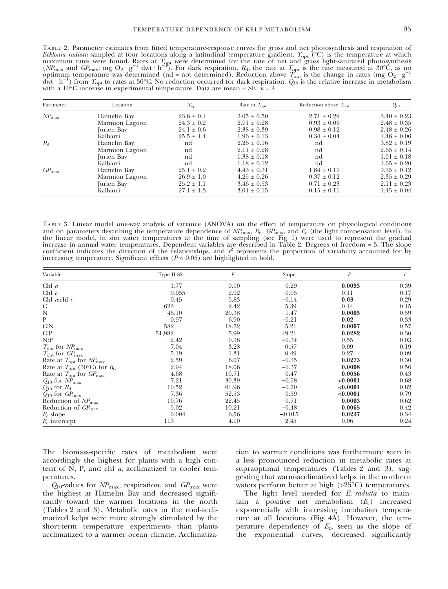Table 2. Parameter estimates from fitted temperature-response curves for gross and net photosynthesis and respiration of *Ecklonia radiata* sampled at four locations along a latitudinal temperature gradient.  $T_{\rm opt}$  (°C) is the temperature at which maximum rates were found. Rates at  $T_{\text{qpt}}$  were determined for the rate of net and gross light-saturated photosynthesis ( $NP_{\text{max}}$  and  $GP_{\text{max}}$ ; mg O<sub>2</sub> · g<sup>-1</sup> dwt · h<sup>-1</sup>). For dark respiration,  $R_{\text{d}}$ , the rate  $\frac{dwt \cdot h^{-1}}{dt}$  from  $T_{\text{opt}}$  to rates at 30°C. No reduction occurred for dark respiration.  $Q_{10}$  is the relative increase in metabolism with a  $10^{\circ}\mathrm{C}$  increase in experimental temperature. Data are mean  $\pm$  SE,  $n$  = 4.

| Parameter         | Location       | $T_{\rm opt}$  | Rate at $T_{\rm opt}$ | Reduction above $T_{\text{opt}}$ | $Q_{10}$        |
|-------------------|----------------|----------------|-----------------------|----------------------------------|-----------------|
| $NP_{\text{max}}$ | Hamelin Bay    | $23.6 \pm 0.1$ | $3.05 \pm 0.50$       | $2.71 \pm 0.29$                  | $3.40 \pm 0.23$ |
|                   | Marmion Lagoon | $24.3 \pm 0.2$ | $2.71 \pm 0.28$       | $0.93 \pm 0.06$                  | $2.48 \pm 0.35$ |
|                   | Jurien Bay     | $24.1 \pm 0.6$ | $2.38 \pm 0.39$       | $0.98 \pm 0.12$                  | $2.48 \pm 0.26$ |
|                   | Kalbarri       | $25.5 \pm 1.4$ | $1.96 \pm 0.13$       | $0.34 \pm 0.04$                  | $1.46 \pm 0.06$ |
| $R_{d}$           | Hamelin Bay    | nd             | $2.26 \pm 0.16$       | nd                               | $3.82 \pm 0.19$ |
|                   | Marmion Lagoon | nd             | $2.11 \pm 0.28$       | nd                               | $2.65 \pm 0.14$ |
|                   | Jurien Bay     | nd             | $1.38 \pm 0.18$       | nd                               | $1.91 \pm 0.18$ |
|                   | Kalbarri       | nd             | $1.18 \pm 0.12$       | nd                               | $1.65 \pm 0.20$ |
| $GP_{\text{max}}$ | Hamelin Bay    | $25.1 \pm 0.2$ | $4.43 \pm 0.31$       | $1.84 \pm 0.17$                  | $3.35 \pm 0.12$ |
|                   | Marmion Lagoon | $26.9 \pm 1.0$ | $4.25 \pm 0.26$       | $0.37 \pm 0.12$                  | $2.35 \pm 0.29$ |
|                   | Jurien Bay     | $25.2 \pm 1.1$ | $3.46 \pm 0.53$       | $0.71 \pm 0.23$                  | $2.11 \pm 0.23$ |
|                   | Kalbarri       | $27.1 \pm 1.3$ | $3.04 \pm 0.15$       | $0.15 \pm 0.11$                  | $1.45 \pm 0.04$ |

Table 3. Linear model one-way analysis of variance (ANOVA) on the effect of temperature on physiological conditions and on parameters describing the temperature dependence of  $NP_{\text{max}}$ ,  $R_{\text{d}}$ ,  $GP_{\text{max}}$ , and  $E_{\text{c}}$  (the light compensation level). In the linear model, in situ water temperatures at the time of sampling (see Fig. 1) were used to represent the gradual increase in annual water temperatures. Dependent variables are described in Table 2. Degrees of freedom = 3. The slope coefficient indicates the direction of the relationships, and  $r^2$  represents the proportion of variability accounted for by increasing temperature. Significant effects  $(P < 0.05)$  are highlighted in bold.

| Variable                                 | Type II SS | $\cal F$ | Slope    | $\boldsymbol{P}$ | $r^2$ |
|------------------------------------------|------------|----------|----------|------------------|-------|
| Chl $a$                                  | 1.77       | 9.10     | $-0.29$  | 0.0093           | 0.39  |
| Chl $c$                                  | 0.055      | 2.92     | $-0.05$  | 0.11             | 0.17  |
| Chl $a$ chl $c$                          | 0.45       | 5.83     | $-0.14$  | 0.03             | 0.29  |
| $\mathcal{C}$                            | 623        | 2.42     | 5.39     | 0.14             | 0.15  |
| $\mathbf N$                              | 46.10      | 20.38    | $-1.47$  | 0.0005           | 0.59  |
| $\mathbf{P}$                             | 0.97       | 6.90     | $-0.21$  | 0.02             | 0.33  |
| C: N                                     | 582        | 18.72    | 5.21     | 0.0007           | 0.57  |
| C: P                                     | 51,982     | 5.99     | 49.21    | 0.0282           | 0.30  |
| N:P                                      | 2.42       | 0.38     | $-0.34$  | 0.55             | 0.03  |
| $T_{\rm opt}$ for $N P_{\rm max}$        | 7.04       | 3.28     | 0.57     | 0.09             | 0.19  |
| $T_{\rm opt}$ for $GP_{\rm max}$         | 5.19       | 1.31     | 0.49     | 0.27             | 0.09  |
| Rate at $T_{\rm opt}$ for $NP_{\rm max}$ | 2.59       | 6.07     | $-0.35$  | 0.0273           | 0.30  |
| Rate at $T_{opt}$ (30°C) for $R_d$       | 2.94       | 18.06    | $-0.37$  | 0.0008           | 0.56  |
| Rate at $T_{\rm opt}$ for $GP_{\rm max}$ | 4.68       | 10.71    | $-0.47$  | 0.0056           | 0.43  |
| $Q_{10}$ for $\dot{MP}_{\text{max}}$     | 7.21       | 30.39    | $-0.58$  | < 0.0001         | 0.68  |
| $Q_{10}$ for $R_{\rm d}$                 | 10.52      | 61.96    | $-0.70$  | < 0.0001         | 0.82  |
| $Q_{10}$ for $GP_{\text{max}}$           | 7.36       | 52.53    | $-0.59$  | < 0.0001         | 0.79  |
| Reduction of $NP_{\text{max}}$           | 10.76      | 22.45    | $-0.71$  | 0.0003           | 0.62  |
| Reduction of $GP_{\text{max}}$           | 5.02       | 10.21    | $-0.48$  | 0.0065           | 0.42  |
| $E_c$ slope                              | 0.004      | 6.56     | $-0.015$ | 0.0237           | 0.34  |
| $E_c$ intercept                          | 113        | 4.10     | 2.45     | 0.06             | 0.24  |

The biomass-specific rates of metabolism were accordingly the highest for plants with a high content of N, P, and chl a, acclimatized to cooler temperatures.

 $Q_{10}$ -values for  $NP_{\text{max}}$ , respiration, and  $GP_{\text{max}}$  were the highest at Hamelin Bay and decreased significantly toward the warmer locations in the north (Tables 2 and 3). Metabolic rates in the cool-acclimatized kelps were more strongly stimulated by the short-term temperature experiments than plants acclimatized to a warmer ocean climate. Acclimatization to warmer conditions was furthermore seen in a less pronounced reduction in metabolic rates at supraoptimal temperatures (Tables 2 and 3), suggesting that warm-acclimatized kelps in the northern waters perform better at high (>25°C) temperatures.

The light level needed for E. *radiata* to maintain a positive net metabolism  $(E_c)$  increased exponentially with increasing incubation temperature at all locations (Fig. 4A). However, the temperature dependency of  $E_c$ , seen as the slope of the exponential curves, decreased significantly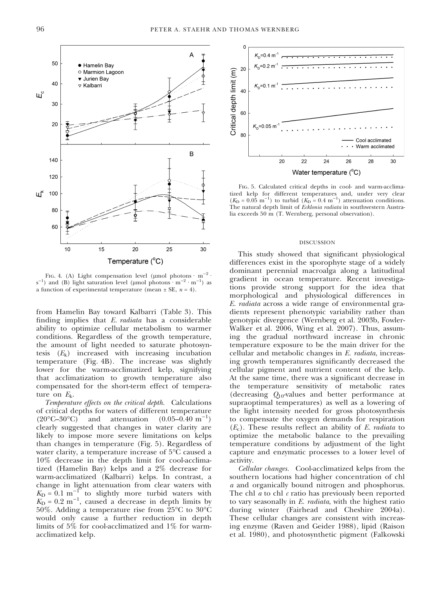

FIG. 4. (A) Light compensation level (µmol photons  $\cdot$  m<sup>-2</sup>  $\cdot$ s<sup>-1</sup>) and (B) light saturation level (µmol photons · m<sup>-2</sup> · m<sup>-1</sup>) as a function of experimental temperature (mean  $\pm$  SE,  $n = 4$ ).

from Hamelin Bay toward Kalbarri (Table 3). This finding implies that E. radiata has a considerable ability to optimize cellular metabolism to warmer conditions. Regardless of the growth temperature, the amount of light needed to saturate photosyntesis  $(E_k)$  increased with increasing incubation temperature (Fig. 4B). The increase was slightly lower for the warm-acclimatized kelp, signifying that acclimatization to growth temperature also compensated for the short-term effect of temperature on  $E_k$ .

Temperature effects on the critical depth. Calculations of critical depths for waters of different temperature  $(20^{\circ}C - 30^{\circ}$ C) and attenuation  $(0.05-0.40 \text{ m}^{-1})$ clearly suggested that changes in water clarity are likely to impose more severe limitations on kelps than changes in temperature (Fig. 5). Regardless of water clarity, a temperature increase of 5°C caused a 10% decrease in the depth limit for cool-acclimatized (Hamelin Bay) kelps and a 2% decrease for warm-acclimatized (Kalbarri) kelps. In contrast, a change in light attenuation from clear waters with  $K_{\text{D}} = 0.1 \text{ m}^{-10}$  to slightly more turbid waters with  $K_D = 0.2 \text{ m}^{-1}$ , caused a decrease in depth limits by  $50\%$ . Adding a temperature rise from  $25^{\circ}\mathrm{C}$  to  $30^{\circ}\mathrm{C}$ would only cause a further reduction in depth limits of 5% for cool-acclimatized and 1% for warmacclimatized kelp.



Fig. 5. Calculated critical depths in cool- and warm-acclimatized kelp for different temperatures and, under very clear  $(K_D = 0.05 \text{ m}^{-1})$  to turbid  $(K_D = 0.4 \text{ m}^{-1})$  attenuation conditions. The natural depth limit of Ecklonia radiata in southwestern Australia exceeds 50 m (T. Wernberg, personal observation).

#### DISCUSSION

This study showed that significant physiological differences exist in the sporophyte stage of a widely dominant perennial macroalga along a latitudinal gradient in ocean temperature. Recent investigations provide strong support for the idea that morphological and physiological differences in E. radiata across a wide range of environmental gradients represent phenotypic variability rather than genotypic divergence (Wernberg et al. 2003b, Fowler-Walker et al. 2006, Wing et al. 2007). Thus, assuming the gradual northward increase in chronic temperature exposure to be the main driver for the cellular and metabolic changes in E. radiata, increasing growth temperatures significantly decreased the cellular pigment and nutrient content of the kelp. At the same time, there was a significant decrease in the temperature sensitivity of metabolic rates (decreasing  $Q_{10}$ -values and better performance at supraoptimal temperatures) as well as a lowering of the light intensity needed for gross photosynthesis to compensate the oxygen demands for respiration  $(E<sub>c</sub>)$ . These results reflect an ability of E. *radiata* to optimize the metabolic balance to the prevailing temperature conditions by adjustment of the light capture and enzymatic processes to a lower level of activity.

Cellular changes. Cool-acclimatized kelps from the southern locations had higher concentration of chl a and organically bound nitrogen and phosphorus. The chl  $\alpha$  to chl  $\alpha$  ratio has previously been reported to vary seasonally in E. radiata, with the highest ratio during winter (Fairhead and Cheshire 2004a). These cellular changes are consistent with increasing enzyme (Raven and Geider 1988), lipid (Raison et al. 1980), and photosynthetic pigment (Falkowski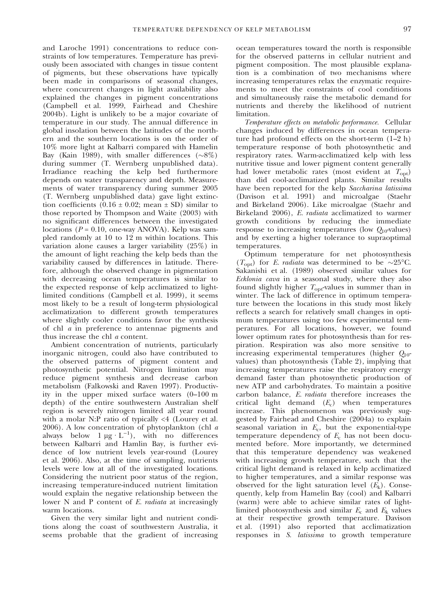and Laroche 1991) concentrations to reduce constraints of low temperatures. Temperature has previously been associated with changes in tissue content of pigments, but these observations have typically been made in comparisons of seasonal changes, where concurrent changes in light availability also explained the changes in pigment concentrations (Campbell et al. 1999, Fairhead and Cheshire 2004b). Light is unlikely to be a major covariate of temperature in our study. The annual difference in global insolation between the latitudes of the northern and the southern locations is on the order of 10% more light at Kalbarri compared with Hamelin Bay (Kain 1989), with smaller differences  $(\sim8\%)$ during summer (T. Wernberg unpublished data). Irradiance reaching the kelp bed furthermore depends on water transparency and depth. Measurements of water transparency during summer 2005 (T. Wernberg unpublished data) gave light extinction coefficients  $(0.16 \pm 0.02; \text{ mean } \pm \text{ SD})$  similar to those reported by Thompson and Waite (2003) with no significant differences between the investigated locations ( $P = 0.10$ , one-way ANOVA). Kelp was sampled randomly at 10 to 12 m within locations. This variation alone causes a larger variability (25%) in the amount of light reaching the kelp beds than the variability caused by differences in latitude. Therefore, although the observed change in pigmentation with decreasing ocean temperatures is similar to the expected response of kelp acclimatized to lightlimited conditions (Campbell et al. 1999), it seems most likely to be a result of long-term physiological acclimatization to different growth temperatures where slightly cooler conditions favor the synthesis of chl a in preference to antennae pigments and thus increase the chl a content.

Ambient concentration of nutrients, particularly inorganic nitrogen, could also have contributed to the observed patterns of pigment content and photosynthetic potential. Nitrogen limitation may reduce pigment synthesis and decrease carbon metabolism (Falkowski and Raven 1997). Productivity in the upper mixed surface waters (0–100 m depth) of the entire southwestern Australian shelf region is severely nitrogen limited all year round with a molar N:P ratio of typically  $\leq 4$  (Lourey et al. 2006). A low concentration of phytoplankton (chl a always below  $1 \mu g \cdot L^{-1}$ ), with no differences between Kalbarri and Hamlin Bay, is further evidence of low nutrient levels year-round (Lourey et al. 2006). Also, at the time of sampling, nutrients levels were low at all of the investigated locations. Considering the nutrient poor status of the region, increasing temperature-induced nutrient limitation would explain the negative relationship between the lower N and P content of E. *radiata* at increasingly warm locations.

Given the very similar light and nutrient conditions along the coast of southwestern Australia, it seems probable that the gradient of increasing ocean temperatures toward the north is responsible for the observed patterns in cellular nutrient and pigment composition. The most plausible explanation is a combination of two mechanisms where increasing temperatures relax the enzymatic requirements to meet the constraints of cool conditions and simultaneously raise the metabolic demand for nutrients and thereby the likelihood of nutrient limitation.

Temperature effects on metabolic performance. Cellular changes induced by differences in ocean temperature had profound effects on the short-term (1–2 h) temperature response of both photosynthetic and respiratory rates. Warm-acclimatized kelp with less nutritive tissue and lower pigment content generally had lower metabolic rates (most evident at  $T_{\text{opt}}$ ) than did cool-acclimatized plants. Similar results have been reported for the kelp Saccharina latissima (Davison et al. 1991) and microalgae (Staehr and Birkeland 2006). Like microalgae (Staehr and Birkeland 2006), E. radiata acclimatized to warmer growth conditions by reducing the immediate response to increasing temperatures (low  $Q_{10}$ -values) and by exerting a higher tolerance to supraoptimal temperatures.

Optimum temperature for net photosynthesis  $(T_{\rm opt})$  for *E. radiata* was determined to be ~25°C. Sakanishi et al. (1989) observed similar values for Ecklonia cava in a seasonal study, where they also found slightly higher  $T_{\text{opt}}$ -values in summer than in winter. The lack of difference in optimum temperature between the locations in this study most likely reflects a search for relatively small changes in optimum temperatures using too few experimental temperatures. For all locations, however, we found lower optimum rates for photosynthesis than for respiration. Respiration was also more sensitive to increasing experimental temperatures (higher  $Q_{10}$ values) than photosynthesis (Table 2), implying that increasing temperatures raise the respiratory energy demand faster than photosynthetic production of new ATP and carbohydrates. To maintain a positive carbon balance, E. radiata therefore increases the critical light demand  $(E_c)$  when temperatures increase. This phenomenon was previously suggested by Fairhead and Cheshire (2004a) to explain seasonal variation in  $E_c$ , but the exponential-type temperature dependency of  $E_c$  has not been documented before. More importantly, we determined that this temperature dependency was weakened with increasing growth temperature, such that the critical light demand is relaxed in kelp acclimatized to higher temperatures, and a similar response was observed for the light saturation level  $(E_k)$ . Consequently, kelp from Hamelin Bay (cool) and Kalbarri (warm) were able to achieve similar rates of lightlimited photosynthesis and similar  $E_c$  and  $E_k$  values at their respective growth temperature. Davison et al. (1991) also reported that acclimatization responses in S. latissima to growth temperature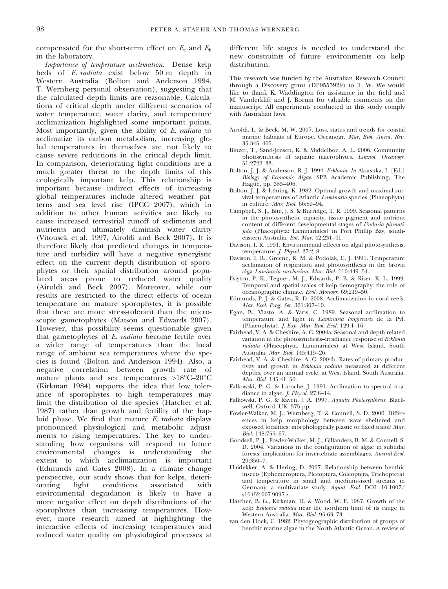compensated for the short-term effect on  $E_c$  and  $E_k$ in the laboratory.

Importance of temperature acclimation. Dense kelp beds of E. radiata exist below 50 m depth in Western Australia (Bolton and Anderson 1994, T. Wernberg personal observation), suggesting that the calculated depth limits are reasonable. Calculations of critical depth under different scenarios of water temperature, water clarity, and temperature acclimatization highlighted some important points. Most importantly, given the ability of E. radiata to acclimatize its carbon metabolism, increasing global temperatures in themselves are not likely to cause severe reductions in the critical depth limit. In comparison, deteriorating light conditions are a much greater threat to the depth limits of this ecologically important kelp. This relationship is important because indirect effects of increasing global temperatures include altered weather patterns and sea level rise (IPCC 2007), which in addition to other human activities are likely to cause increased terrestrial runoff of sediments and nutrients and ultimately diminish water clarity (Vitousek et al. 1997, Airoldi and Beck 2007). It is therefore likely that predicted changes in temperature and turbidity will have a negative synergistic effect on the current depth distribution of sporophytes or their spatial distribution around populated areas prone to reduced water quality (Airoldi and Beck 2007). Moreover, while our results are restricted to the direct effects of ocean temperature on mature sporophytes, it is possible that these are more stress-tolerant than the microscopic gametophytes (Matson and Edwards 2007). However, this possibility seems questionable given that gametophytes of E. radiata become fertile over a wider range of temperatures than the local range of ambient sea temperatures where the species is found (Bolton and Anderson 1994). Also, a negative correlation between growth rate of mature plants and sea temperatures >18°C–20°C (Kirkman 1984) supports the idea that low tolerance of sporophytes to high temperatures may limit the distribution of the species (Hatcher et al. 1987) rather than growth and fertility of the haploid phase. We find that mature E. radiata displays pronounced physiological and metabolic adjustments to rising temperatures. The key to understanding how organisms will respond to future environmental changes is understanding the extent to which acclimatization is important (Edmunds and Gates 2008). In a climate change perspective, our study shows that for kelps, deteriorating light conditions associated with environmental degradation is likely to have a more negative effect on depth distributions of the sporophytes than increasing temperatures. However, more research aimed at highlighting the interactive effects of increasing temperatures and reduced water quality on physiological processes at

different life stages is needed to understand the new constraints of future environments on kelp distribution.

This research was funded by the Australian Research Council through a Discovery grant (DP0555929) to T. W. We would like to thank K. Waddington for assistance in the field and M. Vanderklift and J. Borum for valuable comments on the manuscript. All experiments conducted in this study comply with Australian laws.

- Airoldi, L. & Beck, M. W. 2007. Loss, status and trends for coastal marine habitats of Europe. Oceanogr. Mar. Biol. Annu. Rev. 35:345–405.
- Binzer, T., Sand-Jensen, K. & Middelboe, A. L. 2006. Community photosynthesis of aquatic macrophytes. Limnol. Oceanogr. 51:2722–33.
- Bolton, J. J. & Anderson, R. J. 1994. Ecklonia. In Akatsuka, I. [Ed.] Biology of Economic Algae. SPB Academic Publishing, The Hague, pp. 385–406.
- Bolton, I. J.  $\&$  Lüning, K. 1982. Optimal growth and maximal survival temperatures of Atlantic Laminaria species (Phaeophyta) in culture. Mar. Biol. 66:89–94.
- Campbell, S. J., Bite, J. S. & Burridge, T. R. 1999. Seasonal patterns in the photosynthetic capacity, tissue pigment and nutrient content of different developmental stages of Undaria pinnatifida (Phaeophyta: Laminariales) in Port Phillip Bay, southeastern Australia. Bot. Mar. 42:231–41.
- Davison, I. R. 1991. Environmental effects on algal photosynthesis, temperature. J. Phycol. 27:2–8.
- Davison, I. R., Greene, R. M. & Podolak, E. J. 1991. Temperature acclimation of respiration and photosynthesis in the brown alga Laminaria saccharina. Mar. Biol. 110:449–54.
- Dayton, P. K., Tegner, M. J., Edwards, P. B. & Riser, K. L. 1999. Temporal and spatial scales of kelp demography: the role of oceanographic climate. Ecol. Monogr. 69:219–50.
- Edmunds, P. J. & Gates, R. D. 2008. Acclimatization in coral reefs. Mar. Ecol. Prog. Ser. 361:307–10.
- Egan, B., Vlasto, A. & Yaris, C. 1989. Seasonal acclimation to temperature and light in Laminaria longicruris de la Pyl. (Phaeophyta). J. Exp. Mar. Biol. Ecol. 129:1–16.
- Fairhead, V. A. & Cheshire, A. C. 2004a. Seasonal and depth related variation in the photosynthesis–irradiance response of Ecklonia radiata (Phaeophyta, Laminariales) at West Island, South Australia. Mar. Biol. 145:415–26.
- Fairhead, V. A. & Cheshire, A. C. 2004b. Rates of primary productivity and growth in Ecklonia radiata measured at different depths, over an annual cycle, at West Island, South Australia. Mar. Biol. 145:41–50.
- Falkowski, P. G. & Laroche, J. 1991. Acclimation to spectral irradiance in algae. J. Phycol. 27:8–14.
- Falkowski, P. G. & Raven, J. A. 1997. Aquatic Photosynthesis. Blackwell, Oxford, UK, 375 pp.
- Fowler-Walker, M. J., Wernberg, T. & Connell, S. D. 2006. Differences in kelp morphology between wave sheltered and exposed localities: morphologically plastic or fixed traits? Mar. Biol. 148:755–67.
- Goodsell, P. J., Fowler-Walker, M. J., Gillanders, B. M. & Connell, S. D. 2004. Variations in the configuration of algae in subtidal forests: implications for invertebrate assemblages. Austral Ecol. 29:350–7.
- Haidekker, A. & Hering, D. 2007. Relationship between benthic insects (Ephemeroptera, Plecoptera, Coleoptera, Trichoptera) and temperature in small and medium-sized streams in Germany: a multivariate study. Aquat. Ecol. DOI: 10.1007/ s10452-007-9097-z.
- Hatcher, B. G., Kirkman, H. & Wood, W. F. 1987. Growth of the kelp Ecklonia radiata near the northern limit of its range in Western Australia. Mar. Biol. 95:63–73.
- van den Hoek, C. 1982. Phytogeographic distribution of groups of benthic marine algae in the North Atlantic Ocean. A review of